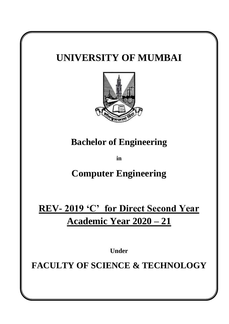# **UNIVERSITY OF MUMBAI Bachelor of Engineering in Computer Engineering REV- 2019 'C' for Direct Second Year Academic Year 2020 – 21 Under FACULTY OF SCIENCE & TECHNOLOGY**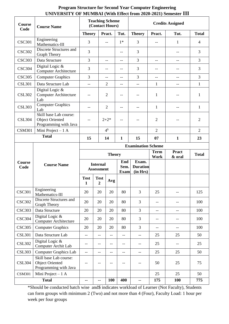| <b>Course</b><br>Code | <b>Course Name</b>                                                        | <b>Teaching Scheme</b><br>(Contact Hours) |                                      |                          |                            | <b>Credits Assigned</b>              |                     |                          |                |
|-----------------------|---------------------------------------------------------------------------|-------------------------------------------|--------------------------------------|--------------------------|----------------------------|--------------------------------------|---------------------|--------------------------|----------------|
|                       |                                                                           | <b>Theory</b>                             |                                      | Pract.                   | Tut.                       | <b>Theory</b>                        | Pract.              | Tut.                     | <b>Total</b>   |
| <b>CSC301</b>         | Engineering<br>Mathematics-III                                            | 3                                         |                                      | $-$                      | $1*$                       | 3                                    | $-$                 | 1                        | $\overline{4}$ |
| <b>CSC302</b>         | Discrete Structures and<br>Graph Theory                                   | 3                                         |                                      |                          | --                         | 3                                    |                     | $-\!$ $\!-$              | 3              |
| <b>CSC303</b>         | Data Structure                                                            | 3                                         |                                      | $--$                     | $-$                        | 3                                    | $-$                 | $\overline{\phantom{m}}$ | 3              |
| <b>CSC304</b>         | Digital Logic &<br><b>Computer Architecture</b>                           | 3                                         |                                      | $-$                      | --                         | 3                                    | --                  | --                       | 3              |
| <b>CSC305</b>         | <b>Computer Graphics</b>                                                  | 3                                         |                                      | $-$                      | $-$                        | 3                                    | $-$                 | $\overline{\phantom{a}}$ | 3              |
| <b>CSL301</b>         | Data Structure Lab                                                        | $-$                                       |                                      | $\overline{2}$           | $-$                        | $-$                                  | 1                   | $\overline{\phantom{m}}$ | $\mathbf{1}$   |
| <b>CSL302</b>         | Digital Logic &<br><b>Computer Architecture</b><br>Lab                    |                                           |                                      | $\mathbf{2}$             |                            | --                                   | $\mathbf{1}$        | $-$                      | 1              |
| <b>CSL303</b>         | <b>Computer Graphics</b><br>Lab                                           | --                                        |                                      | $\overline{2}$           | --                         | $-$                                  | $\mathbf{1}$        | --                       | $\mathbf{1}$   |
| <b>CSL304</b>         | Skill base Lab course:<br><b>Object Oriented</b><br>Programming with Java |                                           | $2 + 2^*$                            |                          |                            |                                      | $\overline{2}$      |                          | $\overline{2}$ |
| <b>CSM301</b>         | Mini Project $-1$ A<br><b>Total</b>                                       |                                           |                                      | 4 <sup>§</sup>           |                            |                                      | $\overline{2}$      |                          | $\overline{2}$ |
|                       | 15                                                                        |                                           | 14                                   | $\mathbf{1}$             | 15                         | 07                                   | 1                   | 23                       |                |
|                       |                                                                           | <b>Examination Scheme</b>                 |                                      |                          |                            |                                      |                     |                          |                |
|                       |                                                                           |                                           | <b>Theory</b>                        |                          |                            |                                      | <b>Term</b><br>Work | <b>Pract</b><br>& oral   | <b>Total</b>   |
| <b>Course</b><br>Code | <b>Course Name</b>                                                        |                                           | <b>Internal</b><br><b>Assessment</b> |                          | End<br>Sem.<br><b>Exam</b> | Exam.<br><b>Duration</b><br>(in Hrs) |                     |                          |                |
|                       |                                                                           | <b>Test</b><br>1                          | <b>Test</b><br>$\boldsymbol{2}$      | Avg                      |                            |                                      |                     |                          |                |
| <b>CSC301</b>         | Engineering<br>Mathematics-III                                            | 20                                        | 20                                   | 20                       | 80                         | 3                                    | 25                  |                          | 125            |
| <b>CSC302</b>         | Discrete Structures and<br><b>Graph Theory</b>                            | 20                                        | 20                                   | 20                       | 80                         | 3                                    | $-$                 | --                       | 100            |
| <b>CSC303</b>         | Data Structure                                                            | 20                                        | 20                                   | 20                       | 80                         | $\overline{3}$                       | $-$                 | $-$                      | 100            |
| <b>CSC304</b>         | Digital Logic &<br><b>Computer Architecture</b>                           | 20                                        | 20                                   | 20                       | 80                         | 3                                    | --                  | --                       | 100            |
| <b>CSC305</b>         | <b>Computer Graphics</b>                                                  | 20                                        | 20                                   | 20                       | 80                         | 3                                    | $-$                 | --                       | 100            |
| <b>CSL301</b>         | Data Structure Lab                                                        | $\overline{a}$                            | --                                   | $\overline{\phantom{a}}$ | $- -$                      | $\overline{\phantom{m}}$             | 25                  | 25                       | 50             |
| <b>CSL302</b>         | Digital Logic &<br>Computer Archit Lab                                    | --                                        | --                                   | --                       | $-\,-$                     | --                                   | 25                  | --                       | 25             |
| <b>CSL303</b>         | <b>Computer Graphics Lab</b>                                              | $-$                                       | --                                   | $\overline{\phantom{a}}$ | $\overline{\phantom{a}}$   | $\overline{\phantom{a}}$             | 25                  | 25                       | 50             |
| <b>CSL304</b>         | Skill base Lab course:<br><b>Object Oriented</b><br>Programming with Java | --                                        |                                      |                          | $-$                        |                                      | 50                  | 25                       | 75             |
| <b>CSM301</b>         | Mini Project $-1$ A                                                       |                                           |                                      |                          |                            |                                      | 25                  | 25                       | 50             |
|                       | --                                                                        | --                                        | <b>100</b>                           | 400                      | $-$                        | 175                                  | <b>100</b>          | 775                      |                |

# **Program Structure for Second Year Computer Engineering UNIVERSITY OF MUMBAI (With Effect from 2020-2021) Semester III**

\*Should be conducted batch wise and\$ indicates workload of Learner (Not Faculty), Students can form groups with minimum 2 (Two) and not more than 4 (Four), Faculty Load: 1 hour per week per four groups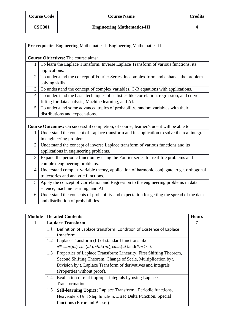|                 | Pre-requisite: Engineering Mathematics-I, Engineering Mathematics-II                        |
|-----------------|---------------------------------------------------------------------------------------------|
|                 |                                                                                             |
|                 | <b>Course Objectives:</b> The course aims:                                                  |
| 1               | To learn the Laplace Transform, Inverse Laplace Transform of various functions, its         |
|                 | applications.                                                                               |
| 2               | To understand the concept of Fourier Series, its complex form and enhance the problem-      |
|                 | solving skills.                                                                             |
| 3               | To understand the concept of complex variables, C-R equations with applications.            |
| $\overline{4}$  | To understand the basic techniques of statistics like correlation, regression, and curve    |
|                 | fitting for data analysis, Machine learning, and AI.                                        |
| $5\overline{)}$ | To understand some advanced topics of probability, random variables with their              |
|                 | distributions and expectations.                                                             |
|                 |                                                                                             |
|                 | Course Outcomes: On successful completion, of course, learner/student will be able to:      |
| $\mathbf{1}$    | Understand the concept of Laplace transform and its application to solve the real integrals |
|                 | in engineering problems.                                                                    |
| $\overline{2}$  | Understand the concept of inverse Laplace transform of various functions and its            |
|                 | applications in engineering problems.                                                       |
| 3               | Expand the periodic function by using the Fourier series for real-life problems and         |
|                 | complex engineering problems.                                                               |
| $\overline{4}$  | Understand complex variable theory, application of harmonic conjugate to get orthogonal     |
|                 | trajectories and analytic functions.                                                        |
| 5               | Apply the concept of Correlation and Regression to the engineering problems in data         |
|                 | science, machine learning, and AI.                                                          |
| 6               | Understand the concepts of probability and expectation for getting the spread of the data   |
|                 | and distribution of probabilities.                                                          |

| <b>Module</b> |                                                                            | <b>Detailed Contents</b>                                                 | <b>Hours</b> |
|---------------|----------------------------------------------------------------------------|--------------------------------------------------------------------------|--------------|
|               |                                                                            | <b>Laplace Transform</b>                                                 |              |
|               | 1.1                                                                        | Definition of Laplace transform, Condition of Existence of Laplace       |              |
|               |                                                                            | transform.                                                               |              |
|               | 1.2                                                                        | Laplace Transform (L) of standard functions like                         |              |
|               |                                                                            | $e^{at}$ , sin(at), cos(at), sinh(at), cosh(at) and $t^n$ , $n \geq 0$ . |              |
|               | 1.3<br>Properties of Laplace Transform: Linearity, First Shifting Theorem, |                                                                          |              |
|               |                                                                            | Second Shifting Theorem, Change of Scale, Multiplication byt,            |              |
|               |                                                                            | Division by t, Laplace Transform of derivatives and integrals            |              |
|               |                                                                            | (Properties without proof).                                              |              |
|               | 1.4                                                                        | Evaluation of real improper integrals by using Laplace                   |              |
|               |                                                                            | Transformation.                                                          |              |
|               | 1.5                                                                        | Self-learning Topics: Laplace Transform: Periodic functions,             |              |
|               |                                                                            | Heaviside's Unit Step function, Dirac Delta Function, Special            |              |
|               |                                                                            | functions (Error and Bessel)                                             |              |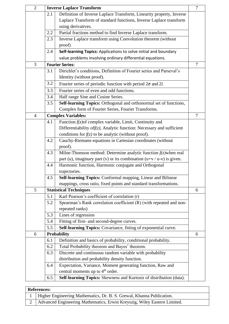| $\overline{2}$ |     | <b>Inverse Laplace Transform</b>                                          | $\overline{7}$ |
|----------------|-----|---------------------------------------------------------------------------|----------------|
|                | 2.1 | Definition of Inverse Laplace Transform, Linearity property, Inverse      |                |
|                |     | Laplace Transform of standard functions, Inverse Laplace transform        |                |
|                |     | using derivatives.                                                        |                |
|                | 2.2 | Partial fractions method to find Inverse Laplace transform.               |                |
|                | 2.3 | Inverse Laplace transform using Convolution theorem (without              |                |
|                |     | proof)                                                                    |                |
|                | 2.4 | Self-learning Topics: Applications to solve initial and boundary          |                |
|                |     | value problems involving ordinary differential equations.                 |                |
| 3              |     | <b>Fourier Series:</b>                                                    | $\overline{7}$ |
|                | 3.1 | Dirichlet's conditions, Definition of Fourier series and Parseval's       |                |
|                |     | Identity (without proof).                                                 |                |
|                | 3.2 | Fourier series of periodic function with period $2\pi$ and 2l.            |                |
|                | 3.3 | Fourier series of even and odd functions.                                 |                |
|                | 3.4 | Half range Sine and Cosine Series.                                        |                |
|                | 3.5 | Self-learning Topics: Orthogonal and orthonormal set of functions,        |                |
|                |     | Complex form of Fourier Series, Fourier Transforms.                       |                |
| $\overline{4}$ |     | <b>Complex Variables:</b>                                                 | $\overline{7}$ |
|                | 4.1 | Function $f(z)$ of complex variable, Limit, Continuity and                |                |
|                |     | Differentiability of $f(z)$ , Analytic function: Necessary and sufficient |                |
|                |     | conditions for $f(z)$ to be analytic (without proof).                     |                |
|                | 4.2 | Cauchy-Riemann equations in Cartesian coordinates (without                |                |
|                |     | proof).                                                                   |                |
|                | 4.3 | Milne-Thomson method: Determine analytic function $f(z)$ when real        |                |
|                |     | part (u), imaginary part (v) or its combination $(u+v/u-v)$ is given.     |                |
|                | 4.4 | Harmonic function, Harmonic conjugate and Orthogonal                      |                |
|                |     | trajectories.                                                             |                |
|                | 4.5 | Self-learning Topics: Conformal mapping, Linear and Bilinear              |                |
|                |     | mappings, cross ratio, fixed points and standard transformations.         |                |
| 5              |     | <b>Statistical Techniques</b>                                             | 6              |
|                | 5.1 | Karl Pearson's coefficient of correlation (r)                             |                |
|                | 5.2 | Spearman's Rank correlation coefficient (R) (with repeated and non-       |                |
|                |     | repeated ranks)                                                           |                |
|                | 5.3 | Lines of regression                                                       |                |
|                | 5.4 | Fitting of first- and second-degree curves.                               |                |
|                | 5.5 | Self-learning Topics: Covariance, fitting of exponential curve.           |                |
| 6              |     | <b>Probability</b>                                                        | 6              |
|                | 6.1 | Definition and basics of probability, conditional probability.            |                |
|                | 6.2 | Total Probability theorem and Bayes' theorem.                             |                |
|                | 6.3 | Discrete and continuous random variable with probability                  |                |
|                |     | distribution and probability density function.                            |                |
|                | 6.4 | Expectation, Variance, Moment generating function, Raw and                |                |
|                |     | central moments up to 4 <sup>th</sup> order.                              |                |
|                | 6.5 | Self-learning Topics: Skewness and Kurtosis of distribution (data).       |                |

# **References:**

| 1   Higher Engineering Mathematics, Dr. B. S. Grewal, Khanna Publication.    |
|------------------------------------------------------------------------------|
| 2   Advanced Engineering Mathematics, Erwin Kreyszig, Wiley Eastern Limited. |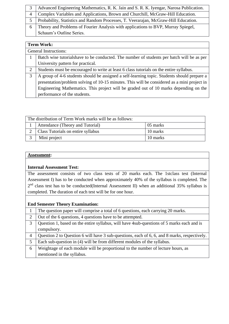| Advanced Engineering Mathematics, R. K. Jain and S. R. K. Iyengar, Narosa Publication. |
|----------------------------------------------------------------------------------------|
| Complex Variables and Applications, Brown and Churchill, McGraw-Hill Education.        |
| Probability, Statistics and Random Processes, T. Veerarajan, McGraw-Hill Education.    |
| Theory and Problems of Fourier Analysis with applications to BVP, Murray Spiegel,      |
| Schaum's Outline Series.                                                               |

|   | <b>Term Work:</b>                                                                           |  |  |  |  |
|---|---------------------------------------------------------------------------------------------|--|--|--|--|
|   | General Instructions:                                                                       |  |  |  |  |
|   | Batch wise tutorialshave to be conducted. The number of students per batch will be as per   |  |  |  |  |
|   | University pattern for practical.                                                           |  |  |  |  |
| 2 | Students must be encouraged to write at least 6 class tutorials on the entire syllabus.     |  |  |  |  |
| 3 | A group of 4-6 students should be assigned a self-learning topic. Students should prepare a |  |  |  |  |
|   | presentation/problem solving of 10-15 minutes. This will be considered as a mini project in |  |  |  |  |
|   | Engineering Mathematics. This project will be graded out of 10 marks depending on the       |  |  |  |  |
|   | performance of the students.                                                                |  |  |  |  |

| The distribution of Term Work marks will be as follows: |                                    |          |  |  |
|---------------------------------------------------------|------------------------------------|----------|--|--|
|                                                         | Attendance (Theory and Tutorial)   | 05 marks |  |  |
|                                                         | Class Tutorials on entire syllabus | 10 marks |  |  |
|                                                         | Mini project                       | 10 marks |  |  |

#### **Internal Assessment Test:**

The assessment consists of two class tests of 20 marks each. The 1stclass test (Internal Assessment I) has to be conducted when approximately 40% of the syllabus is completed. The  $2<sup>nd</sup>$  class test has to be conducted(Internal Assessment II) when an additional 35% syllabus is completed. The duration of each test will be for one hour.

|   | The question paper will comprise a total of 6 questions, each carrying 20 marks.             |
|---|----------------------------------------------------------------------------------------------|
| 2 | Out of the 6 questions, 4 questions have to be attempted.                                    |
| 3 | Question 1, based on the entire syllabus, will have 4sub-questions of 5 marks each and is    |
|   | compulsory.                                                                                  |
| 4 | Question 2 to Question 6 will have 3 sub-questions, each of 6, 6, and 8 marks, respectively. |
| 5 | Each sub-question in (4) will be from different modules of the syllabus.                     |
| 6 | Weightage of each module will be proportional to the number of lecture hours, as             |
|   | mentioned in the syllabus.                                                                   |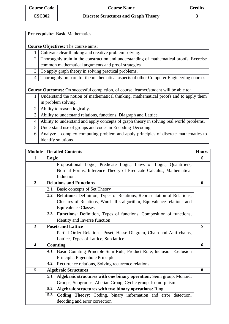| ×            |  |
|--------------|--|
|              |  |
| ۰.<br>I<br>v |  |

|                | <b>Pre-requisite: Basic Mathematics</b>                                                       |  |  |  |  |
|----------------|-----------------------------------------------------------------------------------------------|--|--|--|--|
|                |                                                                                               |  |  |  |  |
|                | <b>Course Objectives:</b> The course aims:                                                    |  |  |  |  |
|                | Cultivate clear thinking and creative problem solving.                                        |  |  |  |  |
| $\overline{2}$ | Thoroughly train in the construction and understanding of mathematical proofs. Exercise       |  |  |  |  |
|                | common mathematical arguments and proof strategies.                                           |  |  |  |  |
| 3              | To apply graph theory in solving practical problems.                                          |  |  |  |  |
| $\overline{4}$ | Thoroughly prepare for the mathematical aspects of other Computer Engineering courses         |  |  |  |  |
|                |                                                                                               |  |  |  |  |
|                | <b>Course Outcomes:</b> On successful completion, of course, learner/student will be able to: |  |  |  |  |
| 1              | Understand the notion of mathematical thinking, mathematical proofs and to apply them         |  |  |  |  |
|                | in problem solving.                                                                           |  |  |  |  |
| 2              | Ability to reason logically.                                                                  |  |  |  |  |
| 3              | Ability to understand relations, functions, Diagraph and Lattice.                             |  |  |  |  |
| $\overline{4}$ | Ability to understand and apply concepts of graph theory in solving real world problems.      |  |  |  |  |
| 5              | Understand use of groups and codes in Encoding-Decoding                                       |  |  |  |  |
| 6              | Analyze a complex computing problem and apply principles of discrete mathematics to           |  |  |  |  |
|                | identify solutions                                                                            |  |  |  |  |
|                |                                                                                               |  |  |  |  |

| <b>Module</b>           | <b>Detailed Contents</b>                                     |                                                                             | <b>Hours</b> |
|-------------------------|--------------------------------------------------------------|-----------------------------------------------------------------------------|--------------|
| 1                       | Logic                                                        |                                                                             | 6            |
|                         |                                                              | Propositional Logic, Predicate Logic, Laws of Logic, Quantifiers,           |              |
|                         |                                                              | Normal Forms, Inference Theory of Predicate Calculus, Mathematical          |              |
|                         |                                                              | Induction.                                                                  |              |
| $\overline{2}$          |                                                              | <b>Relations and Functions</b>                                              | 6            |
|                         | 2.1                                                          | Basic concepts of Set Theory                                                |              |
|                         | $2.2\phantom{0}$                                             | Relations: Definition, Types of Relations, Representation of Relations,     |              |
|                         |                                                              | Closures of Relations, Warshall's algorithm, Equivalence relations and      |              |
|                         |                                                              | <b>Equivalence Classes</b>                                                  |              |
|                         | 2.3                                                          | <b>Functions:</b> Definition, Types of functions, Composition of functions, |              |
|                         |                                                              | Identity and Inverse function                                               |              |
| $\overline{\mathbf{3}}$ |                                                              | <b>Posets and Lattice</b>                                                   | 5            |
|                         |                                                              | Partial Order Relations, Poset, Hasse Diagram, Chain and Anti chains,       |              |
|                         |                                                              | Lattice, Types of Lattice, Sub lattice                                      |              |
| 4                       |                                                              | Counting                                                                    | 6            |
|                         | 4.1                                                          | Basic Counting Principle-Sum Rule, Product Rule, Inclusion-Exclusion        |              |
|                         |                                                              | Principle, Pigeonhole Principle                                             |              |
|                         | 4.2                                                          | Recurrence relations, Solving recurrence relations                          |              |
| 5                       |                                                              | <b>Algebraic Structures</b>                                                 | 8            |
|                         | 5.1                                                          | Algebraic structures with one binary operation: Semi group, Monoid,         |              |
|                         |                                                              | Groups, Subgroups, Abelian Group, Cyclic group, Isomorphism                 |              |
|                         | 5.2<br>Algebraic structures with two binary operations: Ring |                                                                             |              |
|                         | 5.3                                                          | Coding Theory: Coding, binary information and error detection,              |              |
|                         |                                                              | decoding and error correction                                               |              |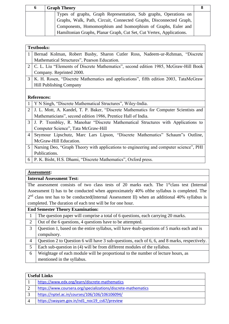| $\mathbf o$ | <b>Graph Theory</b>                                                  |  |
|-------------|----------------------------------------------------------------------|--|
|             | Types of graphs, Graph Representation, Sub graphs, Operations on     |  |
|             | Graphs, Walk, Path, Circuit, Connected Graphs, Disconnected Graph,   |  |
|             | Components, Homomorphism and Isomorphism of Graphs, Euler and        |  |
|             | Hamiltonian Graphs, Planar Graph, Cut Set, Cut Vertex, Applications. |  |

|                | <b>Textbooks:</b>                                                                     |  |  |
|----------------|---------------------------------------------------------------------------------------|--|--|
| 1              | Bernad Kolman, Robert Busby, Sharon Cutler Ross, Nadeem-ur-Rehman, "Discrete          |  |  |
|                | Mathematical Structures", Pearson Education.                                          |  |  |
| 2              | C. L. Liu "Elements of Discrete Mathematics", second edition 1985, McGraw-Hill Book   |  |  |
|                | Company. Reprinted 2000.                                                              |  |  |
| 3              | K. H. Rosen, "Discrete Mathematics and applications", fifth edition 2003, TataMcGraw  |  |  |
|                | <b>Hill Publishing Company</b>                                                        |  |  |
|                |                                                                                       |  |  |
|                | <b>References:</b>                                                                    |  |  |
|                | Y N Singh, "Discrete Mathematical Structures", Wiley-India.                           |  |  |
| $\overline{2}$ | J. L. Mott, A. Kandel, T. P. Baker, "Discrete Mathematics for Computer Scientists and |  |  |

Mathematicians", second edition 1986, Prentice Hall of India.

- 3 J. P. Trembley, R. Manohar "Discrete Mathematical Structures with Applications to Computer Science", Tata McGraw-Hill
- 4 Seymour Lipschutz, Marc Lars Lipson, "Discrete Mathematics" Schaum"s Outline, McGraw-Hill Education.
- 5 Narsing Deo, "Graph Theory with applications to engineering and computer science", PHI Publications.
- 6 P. K. Bisht, H.S. Dhami, "Discrete Mathematics", Oxford press.

#### **Assessment:**

# **Internal Assessment Test:**

The assessment consists of two class tests of 20 marks each. The 1<sup>st</sup>class test (Internal Assessment I) has to be conducted when approximately 40% ofthe syllabus is completed. The  $2<sup>nd</sup>$  class test has to be conducted(Internal Assessment II) when an additional 40% syllabus is completed. The duration of each test will be for one hour.

|  | 1 The question paper will comprise a total of 6 questions, each carrying 20 marks. |
|--|------------------------------------------------------------------------------------|
|--|------------------------------------------------------------------------------------|

- 2 Out of the 6 questions, 4 questions have to be attempted.
- 3 Question 1, based on the entire syllabus, will have 4sub-questions of 5 marks each and is compulsory.
- 4 Question 2 to Question 6 will have 3 sub-questions, each of 6, 6, and 8 marks, respectively.
- 5 Each sub-question in (4) will be from different modules of the syllabus.
- 6 Weightage of each module will be proportional to the number of lecture hours, as mentioned in the syllabus.

|                             | <b>Useful Links</b>                                           |  |
|-----------------------------|---------------------------------------------------------------|--|
|                             | https://www.edx.org/learn/discrete-mathematics                |  |
| 2                           | https://www.coursera.org/specializations/discrete-mathematics |  |
| 3                           | https://nptel.ac.in/courses/106/106/106106094/                |  |
| $\boldsymbol{\vartriangle}$ | https://swayam.gov.in/nd1 noc19 cs67/preview                  |  |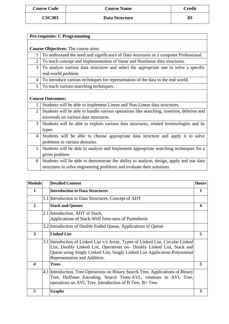| <b>Course Code</b> | <b>Course Name</b> | <b>Credit</b> |
|--------------------|--------------------|---------------|
| <b>CSC303</b>      | Data Structure     | 03            |

|                | <b>Pre-requisite: C Programming</b>                                                        |  |  |
|----------------|--------------------------------------------------------------------------------------------|--|--|
|                |                                                                                            |  |  |
|                | <b>Course Objectives:</b> The course aims:                                                 |  |  |
| 1              | To understand the need and significance of Data structures as a computer Professional.     |  |  |
| $\overline{2}$ | To teach concept and implementation of linear and Nonlinear data structures.               |  |  |
| 3              | To analyze various data structures and select the appropriate one to solve a specific      |  |  |
|                | real-world problem.                                                                        |  |  |
| $\overline{4}$ | To introduce various techniques for representation of the data in the real world.          |  |  |
| 5              | To teach various searching techniques.                                                     |  |  |
|                |                                                                                            |  |  |
|                | <b>Course Outcomes:</b>                                                                    |  |  |
|                | Students will be able to implement Linear and Non-Linear data structures.                  |  |  |
| $\overline{2}$ | Students will be able to handle various operations like searching, insertion, deletion and |  |  |
|                | traversals on various data structures.                                                     |  |  |
| 3              | Students will be able to explain various data structures, related terminologies and its    |  |  |
|                | types.                                                                                     |  |  |
| $\overline{4}$ | Students will be able to choose appropriate data structure and apply it to solve           |  |  |
|                | problems in various domains.                                                               |  |  |
| 5              | Students will be able to analyze and Implement appropriate searching techniques for a      |  |  |
|                | given problem.                                                                             |  |  |
| 6              | Students will be able to demonstrate the ability to analyze, design, apply and use data    |  |  |
|                | structures to solve engineering problems and evaluate their solutions.                     |  |  |

| <b>Module</b>           | <b>Detailed Content</b>                                                                                                                                                                                                                                                 | <b>Hours</b> |
|-------------------------|-------------------------------------------------------------------------------------------------------------------------------------------------------------------------------------------------------------------------------------------------------------------------|--------------|
| 1                       | <b>Introduction to Data Structures</b>                                                                                                                                                                                                                                  | 1            |
|                         | 1.1 Introduction to Data Structures, Concept of ADT                                                                                                                                                                                                                     |              |
| $\overline{2}$          | <b>Stack and Queues</b>                                                                                                                                                                                                                                                 |              |
|                         | 2.1 Introduction, ADT of Stack,<br>Applications of Stack-Well form-ness of Parenthesis                                                                                                                                                                                  |              |
|                         | 2.2 Introduction of Double Ended Queue, Applications of Queue.                                                                                                                                                                                                          |              |
| $\overline{\mathbf{3}}$ | <b>Linked List</b>                                                                                                                                                                                                                                                      | 5            |
|                         | 3.1 Introduction of-Linked List v/s Array, Types of Linked List, Circular Linked<br>List, Doubly Linked List, Operations on- Doubly Linked List, Stack and<br>Queue using Singly Linked List, Singly Linked List Application-Polynomial<br>Representation and Addition. |              |
| 4                       | <b>Trees</b>                                                                                                                                                                                                                                                            | 5            |
|                         | 4.1 Introduction, Tree-Operations on Binary Search Tree, Applications of Binary<br>Tree, Huffman Encoding, Search Trees-AVL, rotations in AVL Tree,<br>operations on AVL Tree, Introduction of B Tree, B+ Tree.                                                         |              |
| 5                       | <b>Graphs</b>                                                                                                                                                                                                                                                           | 3            |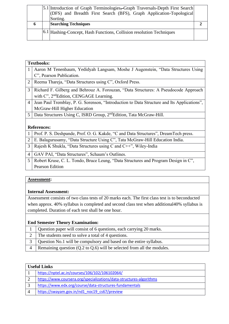|             | 5.1 Introduction of Graph Terminologies, Graph Traversals-Depth First Search    |  |
|-------------|---------------------------------------------------------------------------------|--|
|             | (DFS) and Breadth First Search (BFS), Graph Application-Topological<br>Sorting. |  |
| $\mathbf o$ | <b>Searching Techniques</b>                                                     |  |
|             |                                                                                 |  |
|             | $[6.1]$ Hashing-Concept, Hash Functions, Collision resolution Techniques        |  |

|                | <b>Textbooks:</b>                                                                          |
|----------------|--------------------------------------------------------------------------------------------|
| 1              | Aaron M Tenenbaum, Yedidyah Langsam, Moshe J Augenstein, "Data Structures Using            |
|                | C", Pearson Publication.                                                                   |
| $\overline{2}$ | Reema Thareja, "Data Structures using C", Oxford Press.                                    |
| 3              | Richard F. Gilberg and Behrouz A. Forouzan, "Data Structures: A Pseudocode Approach        |
|                | with C", 2 <sup>nd</sup> Edition, CENGAGE Learning.                                        |
| $\overline{4}$ | Jean Paul Tremblay, P. G. Sorenson, "Introduction to Data Structure and Its Applications", |
|                | McGraw-Hill Higher Education                                                               |
| $\mathfrak{H}$ | Data Structures Using C, ISRD Group, 2 <sup>nd</sup> Edition, Tata McGraw-Hill.            |
|                |                                                                                            |
|                | <b>References:</b>                                                                         |
| 1              | Prof. P. S. Deshpande, Prof. O. G. Kakde, "C and Data Structures", DreamTech press.        |
| $\overline{2}$ | E. Balagurusamy, "Data Structure Using C", Tata McGraw-Hill Education India.               |
| 3              | Rajesh K Shukla, "Data Structures using C and $C++$ ", Wiley-India                         |

- 4 GAV PAI, "Data Structures", Schaum's Outlines.
- 5 Robert Kruse, C. L. Tondo, Bruce Leung, "Data Structures and Program Design in C", Pearson Edition

#### **Internal Assessment:**

Assessment consists of two class tests of 20 marks each. The first class test is to beconducted when approx. 40% syllabus is completed and second class test when additional40% syllabus is completed. Duration of each test shall be one hour.

- 1 Question paper will consist of 6 questions, each carrying 20 marks.
- 2 The students need to solve a total of 4 questions.
- 3 Question No.1 will be compulsory and based on the entire syllabus.
- 4 Remaining question  $(Q.2 \text{ to } Q.6)$  will be selected from all the modules.

| <b>Useful Links</b>                                                 |  |
|---------------------------------------------------------------------|--|
| https://nptel.ac.in/courses/106/102/106102064/                      |  |
| https://www.coursera.org/specializations/data-structures-algorithms |  |
| https://www.edx.org/course/data-structures-fundamentals             |  |
| https://swayam.gov.in/nd1_noc19_cs67/preview                        |  |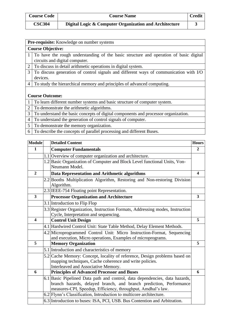| <b>Course Code</b> | <b>Course Name</b>                                     | <b>Credit</b> |
|--------------------|--------------------------------------------------------|---------------|
| <b>CSC304</b>      | Digital Logic & Computer Organization and Architecture |               |

| <b>Pre-requisite:</b> Knowledge on number systems                                     |  |  |
|---------------------------------------------------------------------------------------|--|--|
| <b>Course Objective:</b>                                                              |  |  |
| To have the rough understanding of the basic structure and operation of basic digital |  |  |
| circuits and digital computer.                                                        |  |  |
| To discuss in detail arithmetic operations in digital system.                         |  |  |
| To discuss generation of control signals and different ways of communication with I/O |  |  |
| devices.                                                                              |  |  |
| To study the hierarchical memory and principles of advanced computing.                |  |  |
|                                                                                       |  |  |
| <b>Course Outcome:</b>                                                                |  |  |
| To learn different number systems and basic structure of computer system.             |  |  |
| To demonstrate the arithmetic algorithms.                                             |  |  |
|                                                                                       |  |  |

3 To understand the basic concepts of digital components and processor organization.

- 4 To understand the generation of control signals of computer.
- 5 To demonstrate the memory organization.
- 6 To describe the concepts of parallel processing and different Buses.

| 1<br>$\overline{2}$<br><b>Computer Fundamentals</b><br>1.1 Overview of computer organization and architecture.<br>1.2 Basic Organization of Computer and Block Level functional Units, Von-<br>Neumann Model.<br>Data Representation and Arithmetic algorithms<br>$\overline{2}$<br>4<br>2.2 Booths Multiplication Algorithm, Restoring and Non-restoring Division<br>Algorithm.<br>2.3 IEEE-754 Floating point Representation.<br>3<br><b>Processor Organization and Architecture</b><br>3<br>3.1 Introduction to Flip Flop<br>3.3 Register Organization, Instruction Formats, Addressing modes, Instruction<br>Cycle, Interpretation and sequencing.<br><b>Control Unit Design</b><br>5<br>$\overline{\mathbf{4}}$<br>4.1 Hardwired Control Unit: State Table Method, Delay Element Methods.<br>4.2 Microprogrammed Control Unit: Micro Instruction-Format, Sequencing<br>and execution, Micro operations, Examples of microprograms.<br>5<br><b>Memory Organization</b><br>5<br>5.1 Introduction and characteristics of memory<br>5.2 Cache Memory: Concept, locality of reference, Design problems based on<br>mapping techniques, Cache coherence and write policies.<br>Interleaved and Associative Memory.<br>6<br>6<br><b>Principles of Advanced Processor and Buses</b><br>6.1 Basic Pipelined Data path and control, data dependencies, data hazards,<br>branch hazards, delayed branch, and branch prediction, Performance<br>measures-CPI, Speedup, Efficiency, throughput, Amdhal's law.<br>6.2 Flynn's Classification, Introduction to multicore architecture. | <b>Module</b> | <b>Detailed Content</b>                                                   | <b>Hours</b> |
|------------------------------------------------------------------------------------------------------------------------------------------------------------------------------------------------------------------------------------------------------------------------------------------------------------------------------------------------------------------------------------------------------------------------------------------------------------------------------------------------------------------------------------------------------------------------------------------------------------------------------------------------------------------------------------------------------------------------------------------------------------------------------------------------------------------------------------------------------------------------------------------------------------------------------------------------------------------------------------------------------------------------------------------------------------------------------------------------------------------------------------------------------------------------------------------------------------------------------------------------------------------------------------------------------------------------------------------------------------------------------------------------------------------------------------------------------------------------------------------------------------------------------------------------------------------------------|---------------|---------------------------------------------------------------------------|--------------|
|                                                                                                                                                                                                                                                                                                                                                                                                                                                                                                                                                                                                                                                                                                                                                                                                                                                                                                                                                                                                                                                                                                                                                                                                                                                                                                                                                                                                                                                                                                                                                                              |               |                                                                           |              |
|                                                                                                                                                                                                                                                                                                                                                                                                                                                                                                                                                                                                                                                                                                                                                                                                                                                                                                                                                                                                                                                                                                                                                                                                                                                                                                                                                                                                                                                                                                                                                                              |               |                                                                           |              |
|                                                                                                                                                                                                                                                                                                                                                                                                                                                                                                                                                                                                                                                                                                                                                                                                                                                                                                                                                                                                                                                                                                                                                                                                                                                                                                                                                                                                                                                                                                                                                                              |               |                                                                           |              |
|                                                                                                                                                                                                                                                                                                                                                                                                                                                                                                                                                                                                                                                                                                                                                                                                                                                                                                                                                                                                                                                                                                                                                                                                                                                                                                                                                                                                                                                                                                                                                                              |               |                                                                           |              |
|                                                                                                                                                                                                                                                                                                                                                                                                                                                                                                                                                                                                                                                                                                                                                                                                                                                                                                                                                                                                                                                                                                                                                                                                                                                                                                                                                                                                                                                                                                                                                                              |               |                                                                           |              |
|                                                                                                                                                                                                                                                                                                                                                                                                                                                                                                                                                                                                                                                                                                                                                                                                                                                                                                                                                                                                                                                                                                                                                                                                                                                                                                                                                                                                                                                                                                                                                                              |               |                                                                           |              |
|                                                                                                                                                                                                                                                                                                                                                                                                                                                                                                                                                                                                                                                                                                                                                                                                                                                                                                                                                                                                                                                                                                                                                                                                                                                                                                                                                                                                                                                                                                                                                                              |               |                                                                           |              |
|                                                                                                                                                                                                                                                                                                                                                                                                                                                                                                                                                                                                                                                                                                                                                                                                                                                                                                                                                                                                                                                                                                                                                                                                                                                                                                                                                                                                                                                                                                                                                                              |               |                                                                           |              |
|                                                                                                                                                                                                                                                                                                                                                                                                                                                                                                                                                                                                                                                                                                                                                                                                                                                                                                                                                                                                                                                                                                                                                                                                                                                                                                                                                                                                                                                                                                                                                                              |               |                                                                           |              |
|                                                                                                                                                                                                                                                                                                                                                                                                                                                                                                                                                                                                                                                                                                                                                                                                                                                                                                                                                                                                                                                                                                                                                                                                                                                                                                                                                                                                                                                                                                                                                                              |               |                                                                           |              |
|                                                                                                                                                                                                                                                                                                                                                                                                                                                                                                                                                                                                                                                                                                                                                                                                                                                                                                                                                                                                                                                                                                                                                                                                                                                                                                                                                                                                                                                                                                                                                                              |               |                                                                           |              |
|                                                                                                                                                                                                                                                                                                                                                                                                                                                                                                                                                                                                                                                                                                                                                                                                                                                                                                                                                                                                                                                                                                                                                                                                                                                                                                                                                                                                                                                                                                                                                                              |               |                                                                           |              |
|                                                                                                                                                                                                                                                                                                                                                                                                                                                                                                                                                                                                                                                                                                                                                                                                                                                                                                                                                                                                                                                                                                                                                                                                                                                                                                                                                                                                                                                                                                                                                                              |               |                                                                           |              |
|                                                                                                                                                                                                                                                                                                                                                                                                                                                                                                                                                                                                                                                                                                                                                                                                                                                                                                                                                                                                                                                                                                                                                                                                                                                                                                                                                                                                                                                                                                                                                                              |               |                                                                           |              |
|                                                                                                                                                                                                                                                                                                                                                                                                                                                                                                                                                                                                                                                                                                                                                                                                                                                                                                                                                                                                                                                                                                                                                                                                                                                                                                                                                                                                                                                                                                                                                                              |               |                                                                           |              |
|                                                                                                                                                                                                                                                                                                                                                                                                                                                                                                                                                                                                                                                                                                                                                                                                                                                                                                                                                                                                                                                                                                                                                                                                                                                                                                                                                                                                                                                                                                                                                                              |               |                                                                           |              |
|                                                                                                                                                                                                                                                                                                                                                                                                                                                                                                                                                                                                                                                                                                                                                                                                                                                                                                                                                                                                                                                                                                                                                                                                                                                                                                                                                                                                                                                                                                                                                                              |               |                                                                           |              |
|                                                                                                                                                                                                                                                                                                                                                                                                                                                                                                                                                                                                                                                                                                                                                                                                                                                                                                                                                                                                                                                                                                                                                                                                                                                                                                                                                                                                                                                                                                                                                                              |               |                                                                           |              |
|                                                                                                                                                                                                                                                                                                                                                                                                                                                                                                                                                                                                                                                                                                                                                                                                                                                                                                                                                                                                                                                                                                                                                                                                                                                                                                                                                                                                                                                                                                                                                                              |               |                                                                           |              |
|                                                                                                                                                                                                                                                                                                                                                                                                                                                                                                                                                                                                                                                                                                                                                                                                                                                                                                                                                                                                                                                                                                                                                                                                                                                                                                                                                                                                                                                                                                                                                                              |               |                                                                           |              |
|                                                                                                                                                                                                                                                                                                                                                                                                                                                                                                                                                                                                                                                                                                                                                                                                                                                                                                                                                                                                                                                                                                                                                                                                                                                                                                                                                                                                                                                                                                                                                                              |               |                                                                           |              |
|                                                                                                                                                                                                                                                                                                                                                                                                                                                                                                                                                                                                                                                                                                                                                                                                                                                                                                                                                                                                                                                                                                                                                                                                                                                                                                                                                                                                                                                                                                                                                                              |               |                                                                           |              |
|                                                                                                                                                                                                                                                                                                                                                                                                                                                                                                                                                                                                                                                                                                                                                                                                                                                                                                                                                                                                                                                                                                                                                                                                                                                                                                                                                                                                                                                                                                                                                                              |               | 6.3 Introduction to buses: ISA, PCI, USB. Bus Contention and Arbitration. |              |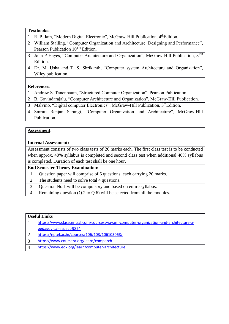|                | <b>Textbooks:</b>                                                                                    |  |
|----------------|------------------------------------------------------------------------------------------------------|--|
|                | $1 \mid R$ . P. Jain, "Modern Digital Electronic", McGraw-Hill Publication, $4^{\text{th}}$ Edition. |  |
| 2              | William Stalling, "Computer Organization and Architecture: Designing and Performance",               |  |
|                | Pearson Publication 10 <sup>TH</sup> Edition.                                                        |  |
| 3              | John P Hayes, "Computer Architecture and Organization", McGraw-Hill Publication, 3RD                 |  |
|                | Edition.                                                                                             |  |
| $\overline{4}$ | Dr. M. Usha and T. S. Shrikanth, "Computer system Architecture and Organization",                    |  |
|                | Wiley publication.                                                                                   |  |
|                |                                                                                                      |  |
|                | <b>References:</b>                                                                                   |  |

| 1 Andrew S. Tanenbaum, "Structured Computer Organization", Pearson Publication.          |
|------------------------------------------------------------------------------------------|
| 2   B. Govindarajalu, "Computer Architecture and Organization", McGraw-Hill Publication. |
| 3   Malvino, "Digital computer Electronics", McGraw-Hill Publication, $3^{rd}$ Edition.  |
| 4 Smruti Ranjan Sarangi, "Computer Organization and Architecture", McGraw-Hill           |
| Publication.                                                                             |

#### **Internal Assessment:**

Assessment consists of two class tests of 20 marks each. The first class test is to be conducted when approx. 40% syllabus is completed and second class test when additional 40% syllabus is completed. Duration of each test shall be one hour.

|  |  | Question paper will comprise of 6 questions, each carrying 20 marks. |  |
|--|--|----------------------------------------------------------------------|--|
|--|--|----------------------------------------------------------------------|--|

- 2 The students need to solve total 4 questions.
- 3 Question No.1 will be compulsory and based on entire syllabus.
- 4 Remaining question (Q.2 to Q.6) will be selected from all the modules.

|   | <b>Useful Links</b>                                                                  |
|---|--------------------------------------------------------------------------------------|
|   | https://www.classcentral.com/course/swayam-computer-organization-and-architecture-a- |
|   | pedagogical-aspect-9824                                                              |
|   | https://nptel.ac.in/courses/106/103/106103068/                                       |
| 2 | https://www.coursera.org/learn/comparch                                              |
|   | https://www.edx.org/learn/computer-architecture                                      |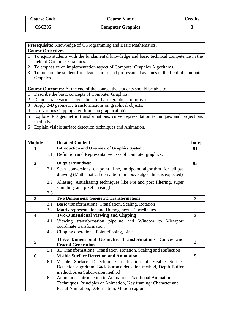| <b>Course Code</b> | <b>Course Name</b>       | Credits |
|--------------------|--------------------------|---------|
| <b>CSC305</b>      | <b>Computer Graphics</b> |         |

|                | <b>Prerequisite:</b> Knowledge of C Programming and Basic Mathematics.                     |  |  |
|----------------|--------------------------------------------------------------------------------------------|--|--|
|                | <b>Course Objectives</b>                                                                   |  |  |
|                | To equip students with the fundamental knowledge and basic technical competence in the     |  |  |
|                | field of Computer Graphics.                                                                |  |  |
| $\overline{2}$ | To emphasize on implementation aspect of Computer Graphics Algorithms.                     |  |  |
| 3              | To prepare the student for advance areas and professional avenues in the field of Computer |  |  |
|                | Graphics                                                                                   |  |  |
|                |                                                                                            |  |  |
|                | <b>Course Outcomes:</b> At the end of the course, the students should be able to           |  |  |
|                | Describe the basic concepts of Computer Graphics.                                          |  |  |
| $\overline{2}$ | Demonstrate various algorithms for basic graphics primitives.                              |  |  |
| 3              | Apply 2-D geometric transformations on graphical objects.                                  |  |  |
| $\overline{4}$ | Use various Clipping algorithms on graphical objects                                       |  |  |
| 5              | Explore 3-D geometric transformations, curve representation techniques and projections     |  |  |
|                | methods.                                                                                   |  |  |
|                | 6 Explain visible surface detection techniques and Animation.                              |  |  |

| <b>Module</b>           |     | <b>Detailed Content</b>                                                                                                               | <b>Hours</b>            |
|-------------------------|-----|---------------------------------------------------------------------------------------------------------------------------------------|-------------------------|
| 1                       |     | <b>Introduction and Overview of Graphics System:</b>                                                                                  | 01                      |
|                         | 1.1 | Definition and Representative uses of computer graphics.                                                                              |                         |
| $\overline{2}$          |     | <b>Output Primitives:</b>                                                                                                             | 0 <sub>5</sub>          |
|                         | 2.1 | Scan conversions of point, line, midpoint algorithm for ellipse<br>drawing (Mathematical derivation for above algorithms is expected) |                         |
|                         | 2.2 | Aliasing, Antialiasing techniques like Pre and post filtering, super<br>sampling, and pixel phasing).                                 |                         |
|                         | 2.3 |                                                                                                                                       |                         |
| $\overline{\mathbf{3}}$ |     | <b>Two Dimensional Geometric Transformations</b>                                                                                      | $\overline{\mathbf{3}}$ |
|                         | 3.1 | Basic transformations: Translation, Scaling, Rotation                                                                                 |                         |
|                         | 3.2 | Matrix representation and Homogeneous Coordinates                                                                                     |                         |
| $\overline{\mathbf{4}}$ |     | <b>Two-Dimensional Viewing and Clipping</b>                                                                                           | $\mathbf{3}$            |
|                         | 4.1 | Viewing transformation pipeline and Window to<br>Viewport<br>coordinate transformation                                                |                         |
|                         | 4.2 | Clipping operations: Point clipping, Line                                                                                             |                         |
| 5                       |     | Three Dimensional Geometric Transformations, Curves and<br><b>Fractal Generation</b>                                                  | 3                       |
|                         | 5.1 | 3D Transformations: Translation, Rotation, Scaling and Reflection                                                                     |                         |
| 6                       |     | <b>Visible Surface Detection and Animation</b>                                                                                        | 5                       |
|                         | 6.1 | Visible Surface Detection: Classification of Visible<br>Surface                                                                       |                         |
|                         |     | Detection algorithm, Back Surface detection method, Depth Buffer                                                                      |                         |
|                         |     | method, Area Subdivision method                                                                                                       |                         |
|                         | 6.2 | Animation: Introduction to Animation, Traditional Animation                                                                           |                         |
|                         |     | Techniques, Principles of Animation, Key framing: Character and                                                                       |                         |
|                         |     | Facial Animation, Deformation, Motion capture                                                                                         |                         |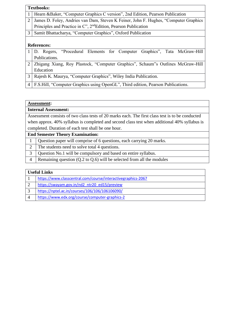|                | <b>Textbooks:</b>                                                                    |
|----------------|--------------------------------------------------------------------------------------|
| $\mathbf{I}$   | Hearn & Baker, "Computer Graphics C version", 2nd Edition, Pearson Publication       |
| $\overline{2}$ | James D. Foley, Andries van Dam, Steven K Feiner, John F. Hughes, "Computer Graphics |
|                | Principles and Practice in C", 2 <sup>nd</sup> Edition, Pearson Publication          |
| 3              | Samit Bhattacharya, "Computer Graphics", Oxford Publication                          |
|                |                                                                                      |
|                | <b>References:</b>                                                                   |
|                | D. Rogers, "Procedural Elements for Computer Graphics", Tata McGraw-Hill             |
|                | Publications.                                                                        |
| $\overline{2}$ | Zhigang Xiang, Roy Plastock, "Computer Graphics", Schaum"s Outlines McGraw-Hill      |
|                | Education                                                                            |
| 3              | Rajesh K. Maurya, "Computer Graphics", Wiley India Publication.                      |
| $\overline{4}$ | F.S.Hill, "Computer Graphics using OpenGL", Third edition, Pearson Publications.     |

| <b>Internal Assessment:</b>                                                                      |
|--------------------------------------------------------------------------------------------------|
| Assessment consists of two class tests of 20 marks each. The first class test is to be conducted |
| when approx. 40% syllabus is completed and second class test when additional 40% syllabus is     |
| completed. Duration of each test shall be one hour.                                              |
| <b>End Semester Theory Examination:</b>                                                          |

| 1   Question paper will comprise of 6 questions, each carrying 20 marks. |
|--------------------------------------------------------------------------|
| 2 The students need to solve total 4 questions.                          |

3 Question No.1 will be compulsory and based on entire syllabus.

4 Remaining question  $(Q.2 \text{ to } Q.6)$  will be selected from all the modules

# **Useful Links**

| https://www.classcentral.com/course/interactivegraphics-2067 |
|--------------------------------------------------------------|
| https://swayam.gov.in/nd2 ntr20 ed15/preview                 |
| https://nptel.ac.in/courses/106/106/106106090/               |
| https://www.edx.org/course/computer-graphics-2               |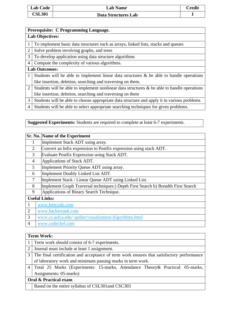| <b>Lab Code</b> | <b>Lab Name</b>     | <b>Credit</b> |
|-----------------|---------------------|---------------|
| <b>CSL301</b>   | Data Structures Lab |               |

|                | Prerequisite: C Programming Language.                                                          |  |  |
|----------------|------------------------------------------------------------------------------------------------|--|--|
|                | <b>Lab Objectives:</b>                                                                         |  |  |
| 1              | To implement basic data structures such as arrays, linked lists, stacks and queues             |  |  |
| $\overline{2}$ | Solve problem involving graphs, and trees                                                      |  |  |
| 3              | To develop application using data structure algorithms                                         |  |  |
| $\overline{4}$ | Compute the complexity of various algorithms.                                                  |  |  |
|                | <b>Lab Outcomes:</b>                                                                           |  |  |
| 1              | Students will be able to implement linear data structures $\&$ be able to handle operations    |  |  |
|                | like insertion, deletion, searching and traversing on them.                                    |  |  |
| $\overline{2}$ | Students will be able to implement nonlinear data structures $\&$ be able to handle operations |  |  |
|                | like insertion, deletion, searching and traversing on them                                     |  |  |
| 3              | Students will be able to choose appropriate data structure and apply it in various problems    |  |  |
| 4              | Students will be able to select appropriate searching techniques for given problems.           |  |  |

**Suggested Experiments:** Students are required to complete at least 6-7 experiments.

|                                                | <b>Sr. No. Name of the Experiment</b>                                             |  |  |
|------------------------------------------------|-----------------------------------------------------------------------------------|--|--|
| 1                                              | Implement Stack ADT using array.                                                  |  |  |
| $\overline{2}$                                 | Convert an Infix expression to Postfix expression using stack ADT.                |  |  |
| 3                                              | Evaluate Postfix Expression using Stack ADT.                                      |  |  |
| $\overline{4}$                                 | Applications of Stack ADT.                                                        |  |  |
| 5<br>Implement Priority Queue ADT using array. |                                                                                   |  |  |
| 6                                              | Implement Doubly Linked List ADT.                                                 |  |  |
| 7                                              | Implement Stack / Linear Queue ADT using Linked List.                             |  |  |
| 8                                              | Implement Graph Traversal techniques:) Depth First Search b) Breadth First Search |  |  |
| 9                                              | Applications of Binary Search Technique.                                          |  |  |
|                                                | <b>Useful Links:</b>                                                              |  |  |
| 1                                              | www.leetcode.com                                                                  |  |  |
| $\overline{2}$                                 | www.hackerrank.com                                                                |  |  |
| 3                                              | www.cs.usfca.edu/~galles/visualization/Algorithms.html                            |  |  |
| 4                                              | www.codechef.com                                                                  |  |  |

# **Term Work:**

| 1 Term work should consist of 6-7 experiments.                                              |  |  |  |
|---------------------------------------------------------------------------------------------|--|--|--|
| 2 Journal must include at least 1 assignment.                                               |  |  |  |
| 3 The final certification and acceptance of term work ensures that satisfactory performance |  |  |  |
| of laboratory work and minimum passing marks in term work.                                  |  |  |  |
| 4   Total 25 Marks (Experiments: 15-marks, Attendance Theory & Practical: 05-marks,         |  |  |  |
| Assignments: 05-marks)                                                                      |  |  |  |
| <b>Oral &amp; Practical exam</b>                                                            |  |  |  |
| Based on the entire syllabus of CSL301 and CSC303                                           |  |  |  |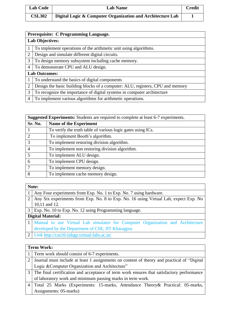| <b>Lab Code</b> | <b>Lab Name</b>                                            | $\mathop{\mathrm{\cap}}$ <b>credit</b> |
|-----------------|------------------------------------------------------------|----------------------------------------|
| <b>CSL302</b>   | Digital Logic & Computer Organization and Architecture Lab |                                        |

|                | Prerequisite: C Programming Language.                                          |  |  |
|----------------|--------------------------------------------------------------------------------|--|--|
|                | <b>Lab Objectives:</b>                                                         |  |  |
|                | To implement operations of the arithmetic unit using algorithms.               |  |  |
| $\overline{2}$ | Design and simulate different digital circuits.                                |  |  |
| 3              | To design memory subsystem including cache memory.                             |  |  |
| 4              | To demonstrate CPU and ALU design.                                             |  |  |
|                | <b>Lab Outcomes:</b>                                                           |  |  |
|                | To understand the basics of digital components                                 |  |  |
| 2              | Design the basic building blocks of a computer: ALU, registers, CPU and memory |  |  |
| 3              | To recognize the importance of digital systems in computer architecture        |  |  |
| 4              | To implement various algorithms for arithmetic operations.                     |  |  |

| <b>Suggested Experiments:</b> Students are required to complete at least 6-7 experiments. |                                                             |  |  |
|-------------------------------------------------------------------------------------------|-------------------------------------------------------------|--|--|
| Sr. No.                                                                                   | <b>Name of the Experiment</b>                               |  |  |
|                                                                                           | To verify the truth table of various logic gates using ICs. |  |  |
|                                                                                           | To implement Booth's algorithm.                             |  |  |
|                                                                                           | To implement restoring division algorithm.                  |  |  |
|                                                                                           | To implement non restoring division algorithm.              |  |  |
| 5                                                                                         | To implement ALU design.                                    |  |  |
| 6                                                                                         | To implement CPU design.                                    |  |  |
|                                                                                           | To implement memory design.                                 |  |  |
| 8                                                                                         | To implement cache memory design.                           |  |  |

| ٧<br>× |  |
|--------|--|

| 1   Any Four experiments from Exp. No. 1 to Exp. No. 7 using hardware. |  |  |
|------------------------------------------------------------------------|--|--|
|                                                                        |  |  |

 Any Six experiments from Exp. No. 8 to Exp. No. 16 using Virtual Lab, expect Exp. No 10,11 and 12.

Exp. No. 10 to Exp. No. 12 using Programming language.

**Digital Material:**

- Manual to use Virtual Lab simulator for Computer Organization and Architecture developed by the Department of CSE, IIT Kharagpur.
- Link<http://cse10-iitkgp.virtual-labs.ac.in/>

| <b>Term Work:</b> |                                                                                             |  |  |
|-------------------|---------------------------------------------------------------------------------------------|--|--|
|                   | 1   Term work should consist of 6-7 experiments.                                            |  |  |
| 2 <sup>1</sup>    | Journal must include at least 1 assignments on content of theory and practical of "Digital  |  |  |
|                   | Logic & Computer Organization and Architecture"                                             |  |  |
|                   | 3 The final certification and acceptance of term work ensures that satisfactory performance |  |  |
|                   | of laboratory work and minimum passing marks in term work.                                  |  |  |
|                   | 4   Total 25 Marks (Experiments: 15-marks, Attendance Theory & Practical: 05-marks,         |  |  |
|                   | Assignments: 05-marks)                                                                      |  |  |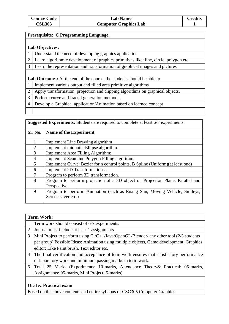| <b>Course Code</b> | <b>Lab Name</b>              | <b>Predits</b> |
|--------------------|------------------------------|----------------|
| <b>CSL303</b>      | <b>Computer Graphics Lab</b> |                |

#### **Prerequisite: C Programming Language.**

#### **Lab Objectives:**

|  | 1   Understand the need of developing graphics application |  |
|--|------------------------------------------------------------|--|
|  |                                                            |  |

2 Learn algorithmic development of graphics primitives like: line, circle, polygon etc.

3 Learn the representation and transformation of graphical images and pictures

#### **Lab Outcomes:** At the end of the course, the students should be able to

- 1 Implement various output and filled area primitive algorithms
- 2 Apply transformation, projection and clipping algorithms on graphical objects.
- 3 Perform curve and fractal generation methods.
- 4 Develop a Graphical application/Animation based on learned concept

| <b>Suggested Experiments:</b> Students are required to complete at least 6-7 experiments. |  |  |
|-------------------------------------------------------------------------------------------|--|--|
|                                                                                           |  |  |

| Sr. No.        | Name of the Experiment                                                          |
|----------------|---------------------------------------------------------------------------------|
|                |                                                                                 |
|                | <b>Implement Line Drawing algorithm</b>                                         |
| $\overline{2}$ | Implement midpoint Ellipse algorithm.                                           |
| 3              | <b>Implement Area Filling Algorithm:</b>                                        |
| 4              | Implement Scan line Polygon Filling algorithm.                                  |
| 5              | Implement Curve: Bezier for n control points, B Spline (Uniform) (at least one) |
| 6              | Implement 2D Transformations:.                                                  |
| 7              | Program to perform 3D transformation.                                           |
| 8              | Program to perform projection of a 3D object on Projection Plane: Parallel and  |
|                | Perspective.                                                                    |
| 9              | Program to perform Animation (such as Rising Sun, Moving Vehicle, Smileys,      |
|                | Screen saver etc.)                                                              |
|                |                                                                                 |

|                | <b>Term Work:</b>                                                                         |  |  |
|----------------|-------------------------------------------------------------------------------------------|--|--|
| 1              | Term work should consist of 6-7 experiments.                                              |  |  |
| $\overline{2}$ | Journal must include at least 1 assignments                                               |  |  |
| 3              | Mini Project to perform using $C/C++/Java/OpenGL/Blender/$ any other tool (2/3 students   |  |  |
|                | per group). Possible Ideas: Animation using multiple objects, Game development, Graphics  |  |  |
|                | editor: Like Paint brush, Text editor etc.                                                |  |  |
| $\overline{4}$ | The final certification and acceptance of term work ensures that satisfactory performance |  |  |
|                | of laboratory work and minimum passing marks in term work.                                |  |  |
| 5              | Total 25 Marks (Experiments: 10-marks, Attendance Theory & Practical: 05-marks,           |  |  |
|                | Assignments: 05-marks, Mini Project: 5-marks)                                             |  |  |
|                | $0.000$ $0.000$ $\mu$                                                                     |  |  |

#### **Oral & Practical exam**

Based on the above contents and entire syllabus of CSC305 Computer Graphics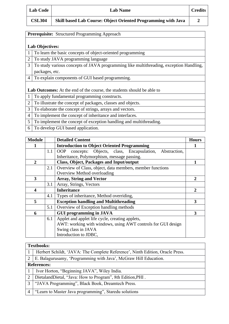| <b>Lab Code</b> |
|-----------------|
|                 |

**CSL304 Skill based Lab Course: Object Oriented Programming with Java 2**

| Prerequisite: Structured Programming Approach |
|-----------------------------------------------|

## **Lab Objectives:**

| 1 To learn the basic concepts of object-oriented programming |
|--------------------------------------------------------------|
|                                                              |

2 To study JAVA programming language

- 3 To study various concepts of JAVA programming like multithreading, exception Handling, packages, etc.
- 4 To explain components of GUI based programming.

**Lab Outcomes:** At the end of the course, the students should be able to

- 1 To apply fundamental programming constructs.
- 2 To illustrate the concept of packages, classes and objects.
- 3 To elaborate the concept of strings, arrays and vectors.
- 4 To implement the concept of inheritance and interfaces.
- 5 To implement the concept of exception handling and multithreading.
- 6 To develop GUI based application.

| <b>Module</b>  |     | <b>Detailed Content</b>                                                | <b>Hours</b> |
|----------------|-----|------------------------------------------------------------------------|--------------|
|                |     | <b>Introduction to Object Oriented Programming</b>                     |              |
|                | 1.1 | concepts: Objects, class, Encapsulation,<br><b>OOP</b><br>Abstraction, |              |
|                |     | Inheritance, Polymorphism, message passing.                            |              |
| $\overline{2}$ |     | <b>Class, Object, Packages and Input/output</b>                        |              |
|                | 2.1 | Overview of Class, object, data members, member functions              |              |
|                |     | Overview Method overloading                                            |              |
| 3              |     | <b>Array, String and Vector</b>                                        | 2            |
|                | 3.1 | Array, Strings, Vectors                                                |              |
| 4              |     | <b>Inheritance</b>                                                     | $\mathbf{2}$ |
|                | 4.1 | Types of inheritance, Method overriding,                               |              |
| 5              |     | <b>Exception handling and Multithreading</b>                           |              |
|                | 5.1 | Overview of Exception handling methods                                 |              |
| 6              |     | <b>GUI programming in JAVA</b>                                         | 3            |
|                | 6.1 | Applet and applet life cycle, creating applets,                        |              |
|                |     | AWT: working with windows, using AWT controls for GUI design           |              |
|                |     | Swing class in JAVA                                                    |              |
|                |     | Introduction to JDBC,                                                  |              |

#### **Textbooks:**

|   | Herbert Schildt, 'JAVA: The Complete Reference', Ninth Edition, Oracle Press. |
|---|-------------------------------------------------------------------------------|
|   | 2   E. Balagurusamy, 'Programming with Java', McGraw Hill Education.          |
|   | <b>References:</b>                                                            |
|   | Ivor Horton, "Beginning JAVA", Wiley India.                                   |
|   | 2   Dietaland Dietal, "Java: How to Program", 8th Edition, PHI.               |
| 3 | "JAVA Programming", Black Book, Dreamtech Press.                              |
|   | "Learn to Master Java programming", Staredu solutions                         |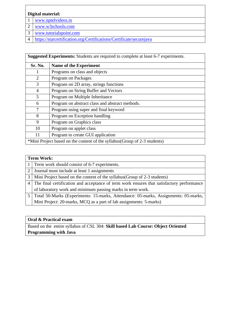## **Digital material:**

- [www.nptelvideos.in](http://www.nptelvideos.in/)
- [www.w3schools.com](http://www.w3schools.com/)
- [www.tutorialspoint.com](http://www.tutorialspoint.com/)
- <https://starcertification.org/Certifications/Certificate/securejava>

**Suggested Experiments:** Students are required to complete at least 6-7 experiments.

| Sr. No.                                                                    | Name of the Experiment                          |
|----------------------------------------------------------------------------|-------------------------------------------------|
|                                                                            | Programs on class and objects                   |
| $\overline{2}$                                                             | Program on Packages                             |
| 3                                                                          | Program on 2D array, strings functions          |
| $\overline{4}$                                                             | Program on String Buffer and Vectors            |
| 5                                                                          | Program on Multiple Inheritance                 |
| 6                                                                          | Program on abstract class and abstract methods. |
| 7                                                                          | Program using super and final keyword           |
| 8                                                                          | Program on Exception handling                   |
| 9                                                                          | Program on Graphics class                       |
| 10                                                                         | Program on applet class                         |
| 11                                                                         | Program to create GUI application               |
| *Mini Project based on the content of the syllabus (Group of 2-3 students) |                                                 |

|   | <b>Term Work:</b>                                                                         |  |  |
|---|-------------------------------------------------------------------------------------------|--|--|
|   | 1 Term work should consist of 6-7 experiments.                                            |  |  |
| 2 | Journal must include at least 1 assignments                                               |  |  |
| 3 | Mini Project based on the content of the syllabus (Group of 2-3 students)                 |  |  |
| 4 | The final certification and acceptance of term work ensures that satisfactory performance |  |  |
|   | of laboratory work and minimum passing marks in term work.                                |  |  |
|   | Total 50-Marks (Experiments: 15-marks, Attendance: 05-marks, Assignments: 05-marks,       |  |  |
|   | Mini Project: 20-marks, MCQ as a part of lab assignments: 5-marks)                        |  |  |

### **Oral & Practical exam**

Based on the entire syllabus of CSL 304: **Skill based Lab Course: Object Oriented Programming with Java**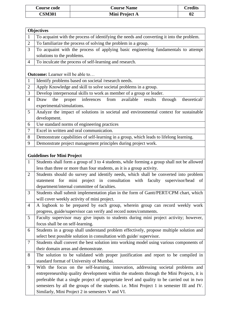| Course code   | <b>Course Name</b> | Credits |
|---------------|--------------------|---------|
| <b>CSM301</b> | Mini Project A     | 02      |

|                | <b>Objectives</b>                                                                          |
|----------------|--------------------------------------------------------------------------------------------|
| $\mathbf{1}$   | To acquaint with the process of identifying the needs and converting it into the problem.  |
| $\mathbf{2}$   | To familiarize the process of solving the problem in a group.                              |
| 3              | To acquaint with the process of applying basic engineering fundamentals to attempt         |
|                | solutions to the problems.                                                                 |
| 4              | To inculcate the process of self-learning and research.                                    |
|                |                                                                                            |
|                | <b>Outcome:</b> Learner will be able to                                                    |
| 1              | Identify problems based on societal /research needs.                                       |
| $\overline{c}$ | Apply Knowledge and skill to solve societal problems in a group.                           |
| 3              | Develop interpersonal skills to work as member of a group or leader.                       |
| $\overline{4}$ | inferences<br>from<br>available results<br>Draw<br>the<br>proper<br>through theoretical/   |
|                | experimental/simulations.                                                                  |
| 5              | Analyze the impact of solutions in societal and environmental context for sustainable      |
|                | development.                                                                               |
| 6              | Use standard norms of engineering practices                                                |
| $\tau$         | Excel in written and oral communication.                                                   |
| 8              | Demonstrate capabilities of self-learning in a group, which leads to lifelong learning.    |
| 9              | Demonstrate project management principles during project work.                             |
|                |                                                                                            |
|                | <b>Guidelines for Mini Project</b>                                                         |
| $\mathbf{1}$   | Students shall form a group of 3 to 4 students, while forming a group shall not be allowed |
|                | less than three or more than four students, as it is a group activity.                     |
| $\overline{2}$ | Students should do survey and identify needs, which shall be converted into problem        |
|                | statement for mini project in consultation with faculty supervisor/head<br>of              |
|                | department/internal committee of faculties.                                                |
| 3              | Students shall submit implementation plan in the form of Gantt/PERT/CPM chart, which       |
|                | will cover weekly activity of mini project.                                                |
| 4              | A logbook to be prepared by each group, wherein group can record weekly work               |
|                | progress, guide/supervisor can verify and record notes/comments.                           |
| 5              | Faculty supervisor may give inputs to students during mini project activity; however,      |
|                | focus shall be on self-learning.                                                           |
| 6              | Students in a group shall understand problem effectively, propose multiple solution and    |
|                | select best possible solution in consultation with guide/supervisor.                       |
| 7              | Students shall convert the best solution into working model using various components of    |
|                | their domain areas and demonstrate.                                                        |
| 8              | The solution to be validated with proper justification and report to be compiled in        |
|                | standard format of University of Mumbai.                                                   |
| 9              | With the focus on the self-learning, innovation, addressing societal problems and          |
|                | entrepreneurship quality development within the students through the Mini Projects, it is  |
|                | preferable that a single project of appropriate level and quality to be carried out in two |
|                | semesters by all the groups of the students. i.e. Mini Project 1 in semester III and IV.   |
|                | Similarly, Mini Project 2 in semesters V and VI.                                           |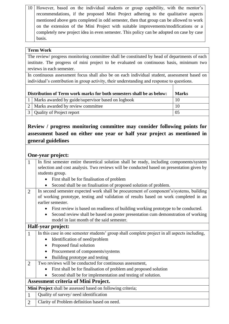| 10 However, based on the individual students or group capability, with the mentor's      |
|------------------------------------------------------------------------------------------|
| recommendations, if the proposed Mini Project adhering to the qualitative aspects        |
| mentioned above gets completed in odd semester, then that group can be allowed to work   |
| on the extension of the Mini Project with suitable improvements/modifications or a       |
| completely new project idea in even semester. This policy can be adopted on case by case |
| basis.                                                                                   |

# **Term Work**

The review/ progress monitoring committee shall be constituted by head of departments of each institute. The progress of mini project to be evaluated on continuous basis, minimum two reviews in each semester.

In continuous assessment focus shall also be on each individual student, assessment based on individual's contribution in group activity, their understanding and response to questions.

| Distribution of Term work marks for both semesters shall be as below: |                                                        | <b>Marks</b> |
|-----------------------------------------------------------------------|--------------------------------------------------------|--------------|
|                                                                       | 1   Marks awarded by guide/supervisor based on logbook | 10           |
|                                                                       | 2   Marks awarded by review committee                  | 10           |
|                                                                       | 3   Quality of Project report                          | 05           |

# **Review / progress monitoring committee may consider following points for assessment based on either one year or half year project as mentioned in general guidelines**

# **One-year project:**

| $\mathbf{1}$   | In first semester entire theoretical solution shall be ready, including components/system     |  |
|----------------|-----------------------------------------------------------------------------------------------|--|
|                | selection and cost analysis. Two reviews will be conducted based on presentation given by     |  |
|                | students group.                                                                               |  |
|                | First shall be for finalisation of problem                                                    |  |
|                | Second shall be on finalisation of proposed solution of problem.                              |  |
| $\overline{2}$ | In second semester expected work shall be procurement of component's/systems, building        |  |
|                | of working prototype, testing and validation of results based on work completed in an         |  |
|                | earlier semester.                                                                             |  |
|                | First review is based on readiness of building working prototype to be conducted.             |  |
|                | Second review shall be based on poster presentation cum demonstration of working<br>$\bullet$ |  |
|                | model in last month of the said semester.                                                     |  |
|                | Half-year project:                                                                            |  |
| $\mathbf{1}$   | In this case in one semester students' group shall complete project in all aspects including, |  |
|                | Identification of need/problem<br>$\bullet$                                                   |  |
|                | Proposed final solution                                                                       |  |
|                | Procurement of components/systems                                                             |  |
|                | Building prototype and testing                                                                |  |
| $\overline{2}$ | Two reviews will be conducted for continuous assessment,                                      |  |
|                | First shall be for finalisation of problem and proposed solution                              |  |
|                | Second shall be for implementation and testing of solution.                                   |  |
|                | <b>Assessment criteria of Mini Project.</b>                                                   |  |
|                | Mini Project shall be assessed based on following criteria;                                   |  |
| $\mathbf{1}$   | Quality of survey/ need identification                                                        |  |
| $\overline{2}$ | Clarity of Problem definition based on need.                                                  |  |
|                |                                                                                               |  |